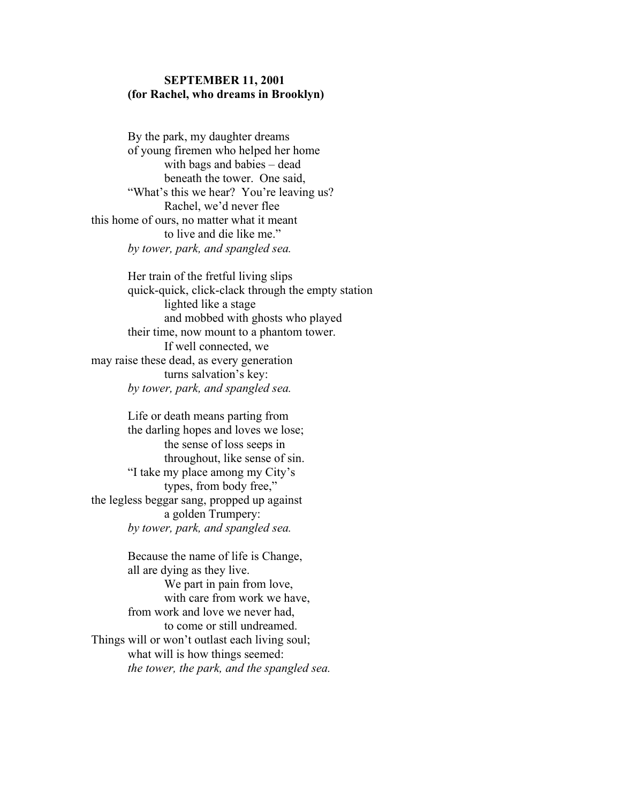## SEPTEMBER 11, 2001 (for Rachel, who dreams in Brooklyn)

 By the park, my daughter dreams of young firemen who helped her home with bags and babies – dead beneath the tower. One said, "What's this we hear? You're leaving us? Rachel, we'd never flee this home of ours, no matter what it meant to live and die like me." by tower, park, and spangled sea.

 Her train of the fretful living slips quick-quick, click-clack through the empty station lighted like a stage and mobbed with ghosts who played their time, now mount to a phantom tower. If well connected, we may raise these dead, as every generation turns salvation's key: by tower, park, and spangled sea.

 Life or death means parting from the darling hopes and loves we lose; the sense of loss seeps in throughout, like sense of sin. "I take my place among my City's types, from body free," the legless beggar sang, propped up against a golden Trumpery: by tower, park, and spangled sea.

Because the name of life is Change, all are dying as they live. We part in pain from love, with care from work we have, from work and love we never had, to come or still undreamed. Things will or won't outlast each living soul; what will is how things seemed: the tower, the park, and the spangled sea.